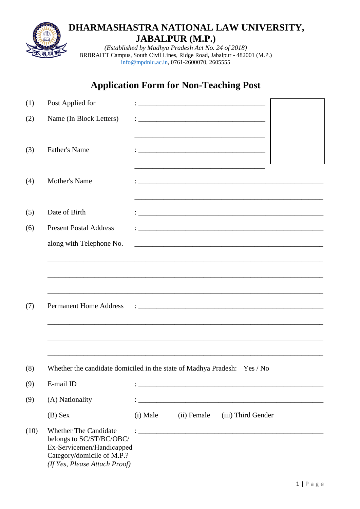

BRBRAITT Campus, South Civil Lines, Ridge Road, Jabalpur - 482001 (M.P.) [info@mpdnlu.ac.in,](mailto:info@mpdnlu.ac.in) 0761-2600070, 2605555

# **Application Form for Non-Teaching Post**

| (1)  | Post Applied for                                                         |          |             |                                                                                                                      |  |
|------|--------------------------------------------------------------------------|----------|-------------|----------------------------------------------------------------------------------------------------------------------|--|
| (2)  | Name (In Block Letters)                                                  |          |             |                                                                                                                      |  |
|      |                                                                          |          |             |                                                                                                                      |  |
| (3)  | <b>Father's Name</b>                                                     |          |             |                                                                                                                      |  |
|      |                                                                          |          |             |                                                                                                                      |  |
| (4)  | <b>Mother's Name</b>                                                     |          |             |                                                                                                                      |  |
|      |                                                                          |          |             |                                                                                                                      |  |
| (5)  | Date of Birth                                                            |          |             |                                                                                                                      |  |
| (6)  | <b>Present Postal Address</b>                                            |          |             | <u> 2000 - Jan James James Jan James James James James James James James James James James James James James Jam</u> |  |
|      | along with Telephone No.                                                 |          |             |                                                                                                                      |  |
|      |                                                                          |          |             |                                                                                                                      |  |
|      |                                                                          |          |             |                                                                                                                      |  |
|      |                                                                          |          |             |                                                                                                                      |  |
| (7)  | <b>Permanent Home Address</b>                                            |          |             |                                                                                                                      |  |
|      |                                                                          |          |             |                                                                                                                      |  |
|      |                                                                          |          |             |                                                                                                                      |  |
|      |                                                                          |          |             |                                                                                                                      |  |
|      |                                                                          |          |             |                                                                                                                      |  |
| (8)  | Whether the candidate domiciled in the state of Madhya Pradesh: Yes / No |          |             |                                                                                                                      |  |
| (9)  | E-mail ID                                                                |          |             |                                                                                                                      |  |
| (9)  | (A) Nationality                                                          |          |             |                                                                                                                      |  |
|      | $(B)$ Sex                                                                | (i) Male | (ii) Female | (iii) Third Gender                                                                                                   |  |
| (10) | <b>Whether The Candidate</b>                                             |          |             |                                                                                                                      |  |
|      | belongs to SC/ST/BC/OBC/<br>Ex-Servicemen/Handicapped                    |          |             |                                                                                                                      |  |
|      | Category/domicile of M.P.?<br>(If Yes, Please Attach Proof)              |          |             |                                                                                                                      |  |
|      |                                                                          |          |             |                                                                                                                      |  |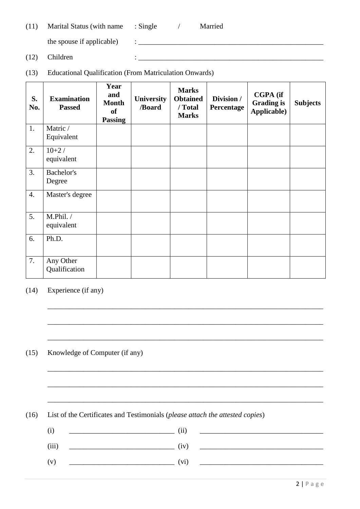| (11) | Marital Status (with name | $\therefore$ Single | Married |
|------|---------------------------|---------------------|---------|
|      |                           |                     |         |

the spouse if applicable)  $\qquad : \qquad$ 

- $(12)$  Children :  $\frac{1}{2}$  Children :  $\frac{1}{2}$
- (13) Educational Qualification (From Matriculation Onwards)

| S.<br>No. | <b>Examination</b><br><b>Passed</b> | Year<br>and<br><b>Month</b><br><b>of</b><br><b>Passing</b> | University<br>/Board | <b>Marks</b><br><b>Obtained</b><br>/ Total<br><b>Marks</b> | Division /<br>Percentage | <b>CGPA</b> (if<br><b>Grading is</b><br>Applicable) | <b>Subjects</b> |
|-----------|-------------------------------------|------------------------------------------------------------|----------------------|------------------------------------------------------------|--------------------------|-----------------------------------------------------|-----------------|
| 1.        | Matric /<br>Equivalent              |                                                            |                      |                                                            |                          |                                                     |                 |
| 2.        | $10+2/$<br>equivalent               |                                                            |                      |                                                            |                          |                                                     |                 |
| 3.        | Bachelor's<br>Degree                |                                                            |                      |                                                            |                          |                                                     |                 |
| 4.        | Master's degree                     |                                                            |                      |                                                            |                          |                                                     |                 |
| 5.        | M.Phil./<br>equivalent              |                                                            |                      |                                                            |                          |                                                     |                 |
| 6.        | Ph.D.                               |                                                            |                      |                                                            |                          |                                                     |                 |
| 7.        | Any Other<br>Qualification          |                                                            |                      |                                                            |                          |                                                     |                 |

### (14) Experience (if any)

(15) Knowledge of Computer (if any)

(16) List of the Certificates and Testimonials (*please attach the attested copies*)

| (i)   | (ii) |  |
|-------|------|--|
| (iii) | (iv) |  |
| (v)   | (vi) |  |

\_\_\_\_\_\_\_\_\_\_\_\_\_\_\_\_\_\_\_\_\_\_\_\_\_\_\_\_\_\_\_\_\_\_\_\_\_\_\_\_\_\_\_\_\_\_\_\_\_\_\_\_\_\_\_\_\_\_\_\_\_\_\_\_\_\_\_\_\_\_\_\_\_\_\_\_

\_\_\_\_\_\_\_\_\_\_\_\_\_\_\_\_\_\_\_\_\_\_\_\_\_\_\_\_\_\_\_\_\_\_\_\_\_\_\_\_\_\_\_\_\_\_\_\_\_\_\_\_\_\_\_\_\_\_\_\_\_\_\_\_\_\_\_\_\_\_\_\_\_\_\_\_

\_\_\_\_\_\_\_\_\_\_\_\_\_\_\_\_\_\_\_\_\_\_\_\_\_\_\_\_\_\_\_\_\_\_\_\_\_\_\_\_\_\_\_\_\_\_\_\_\_\_\_\_\_\_\_\_\_\_\_\_\_\_\_\_\_\_\_\_\_\_\_\_\_\_\_\_

\_\_\_\_\_\_\_\_\_\_\_\_\_\_\_\_\_\_\_\_\_\_\_\_\_\_\_\_\_\_\_\_\_\_\_\_\_\_\_\_\_\_\_\_\_\_\_\_\_\_\_\_\_\_\_\_\_\_\_\_\_\_\_\_\_\_\_\_\_\_\_\_\_\_\_\_

\_\_\_\_\_\_\_\_\_\_\_\_\_\_\_\_\_\_\_\_\_\_\_\_\_\_\_\_\_\_\_\_\_\_\_\_\_\_\_\_\_\_\_\_\_\_\_\_\_\_\_\_\_\_\_\_\_\_\_\_\_\_\_\_\_\_\_\_\_\_\_\_\_\_\_\_